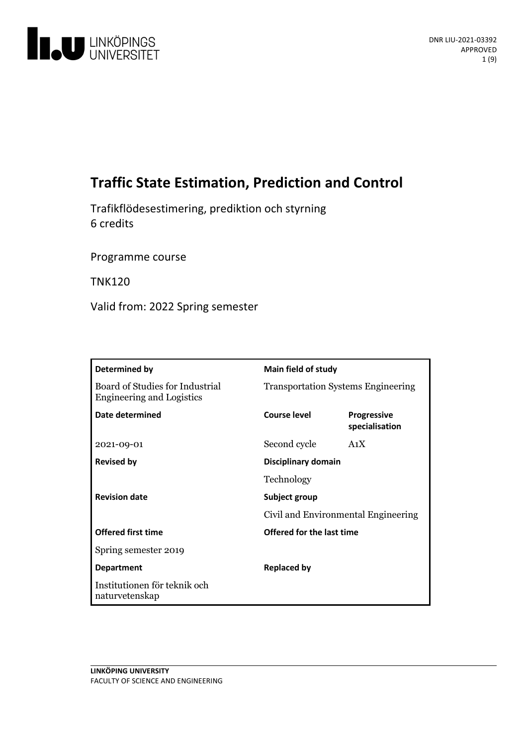

# **TrafficState Estimation, Prediction and Control**

Trafikflödesestimering, prediktion och styrning 6 credits

Programme course

TNK120

Valid from: 2022 Spring semester

| Determined by                                                       | Main field of study                       |                                      |
|---------------------------------------------------------------------|-------------------------------------------|--------------------------------------|
| Board of Studies for Industrial<br><b>Engineering and Logistics</b> | <b>Transportation Systems Engineering</b> |                                      |
| Date determined                                                     | Course level                              | <b>Progressive</b><br>specialisation |
| 2021-09-01                                                          | Second cycle                              | A <sub>1</sub> X                     |
| <b>Revised by</b>                                                   | Disciplinary domain                       |                                      |
|                                                                     | Technology                                |                                      |
| <b>Revision date</b>                                                | Subject group                             |                                      |
|                                                                     | Civil and Environmental Engineering       |                                      |
| <b>Offered first time</b>                                           | Offered for the last time                 |                                      |
| Spring semester 2019                                                |                                           |                                      |
| <b>Department</b>                                                   | <b>Replaced by</b>                        |                                      |
| Institutionen för teknik och<br>naturvetenskap                      |                                           |                                      |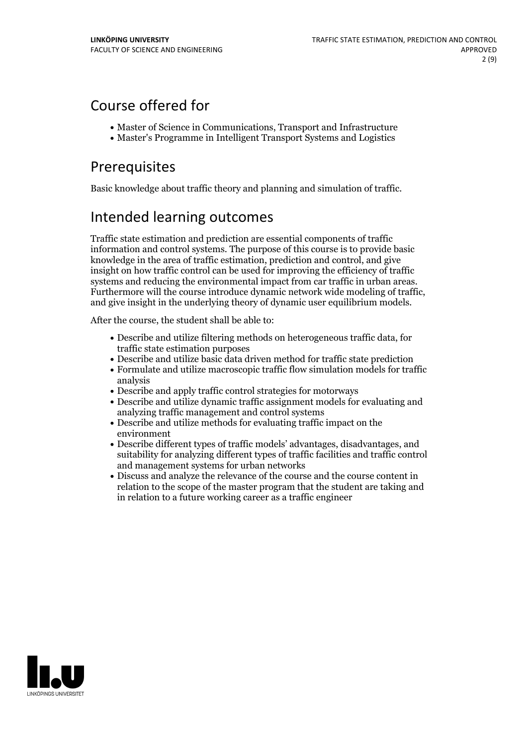## Course offered for

- Master of Science in Communications, Transport and Infrastructure
- Master's Programme in Intelligent Transport Systems and Logistics

## Prerequisites

Basic knowledge about traffic theory and planning and simulation of traffic.

# Intended learning outcomes

Traffic state estimation and prediction are essential components of traffic information and control systems. The purpose of this course is to provide basic knowledge in the area of traffic estimation, prediction and control, and give insight on how traffic control can be used for improving the efficiency of traffic systems and reducing the environmental impact from car traffic in urban areas.<br>Furthermore will the course introduce dynamic network wide modeling of traffic,<br>and give insight in the underlying theory of dynamic user equil

After the course, the student shall be able to:

- Describe and utilize filtering methods on heterogeneous traffic data, for traffic state estimation purposes
- Describe and utilize basic data driven method for traffic state prediction
- Formulate and utilize macroscopic traffic flow simulation models for traffic analysis
- Describe and apply traffic control strategies for motorways
- Describe and utilize dynamic traffic assignment models for evaluating and analyzing traffic management and control systems
- Describe and utilize methods for evaluating traffic impact on the environment
- Describe different types of traffic models' advantages, disadvantages, and suitability for analyzing different types of traffic facilities and traffic control and management systems for urban networks
- Discuss and analyze the relevance of the course and the course content in relation to the scope of the master program that the student are taking and in relation to a future working career as a traffic engineer

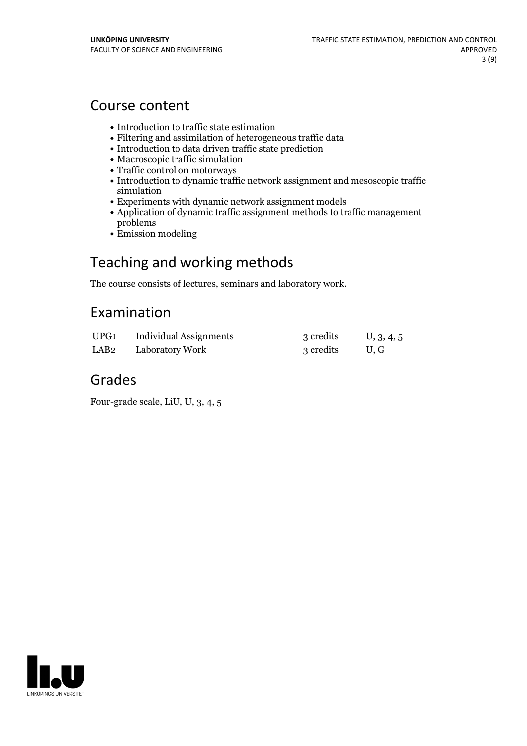## Course content

- Introduction to traffic state estimation
- Filtering and assimilation of heterogeneous traffic data
- Introduction to data driven traffic state prediction
- Macroscopic traffic simulation
- Traffic control on motorways
- Introduction to dynamic traffic network assignment and mesoscopic traffic simulation
- Experiments with dynamic network assignment models
- Application of dynamic traffic assignment methods to traffic management problems
- Emission modeling

# Teaching and working methods

The course consists of lectures, seminars and laboratory work.

## Examination

| UPG1 | <b>Individual Assignments</b>    | 3 credits | U, 3, 4, 5 |
|------|----------------------------------|-----------|------------|
|      | LAB <sub>2</sub> Laboratory Work | 3 credits | U.G        |

## Grades

Four-grade scale, LiU, U, 3, 4, 5

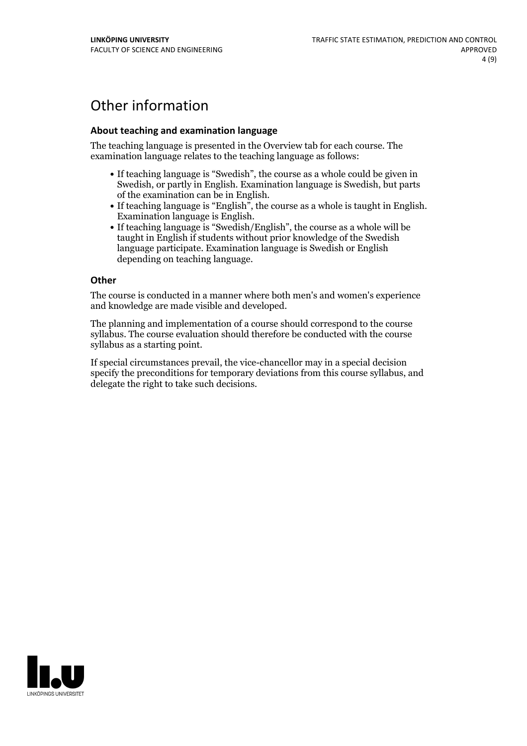# Other information

### **About teaching and examination language**

The teaching language is presented in the Overview tab for each course. The examination language relates to the teaching language as follows:

- If teaching language is "Swedish", the course as a whole could be given in Swedish, or partly in English. Examination language is Swedish, but parts
- of the examination can be in English. If teaching language is "English", the course as <sup>a</sup> whole is taught in English. Examination language is English. If teaching language is "Swedish/English", the course as <sup>a</sup> whole will be
- taught in English if students without prior knowledge of the Swedish language participate. Examination language is Swedish or English depending on teaching language.

#### **Other**

The course is conducted in a manner where both men's and women's experience and knowledge are made visible and developed.

The planning and implementation of a course should correspond to the course syllabus. The course evaluation should therefore be conducted with the course syllabus as a starting point.

If special circumstances prevail, the vice-chancellor may in a special decision specify the preconditions for temporary deviations from this course syllabus, and delegate the right to take such decisions.

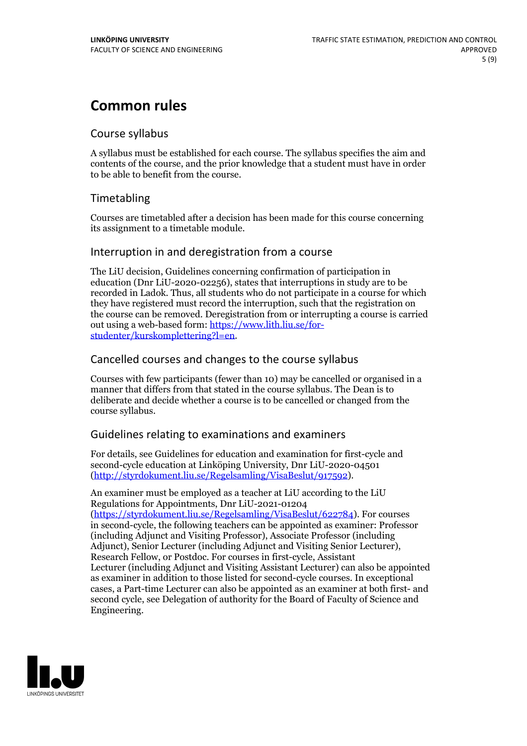## **Common rules**

## Course syllabus

A syllabus must be established for each course. The syllabus specifies the aim and contents of the course, and the prior knowledge that a student must have in order to be able to benefit from the course.

## Timetabling

Courses are timetabled after a decision has been made for this course concerning its assignment to a timetable module.

## Interruption in and deregistration from a course

The LiU decision, Guidelines concerning confirmation of participation in education (Dnr LiU-2020-02256), states that interruptions in study are to be recorded in Ladok. Thus, all students who do not participate in a course for which they have registered must record the interruption, such that the registration on the course can be removed. Deregistration from or interrupting a course is carried out using <sup>a</sup> web-based form: https://www.lith.liu.se/for- [studenter/kurskomplettering?l=en.](https://www.lith.liu.se/for-studenter/kurskomplettering?l=en)

## Cancelled courses and changes to the course syllabus

Courses with few participants (fewer than 10) may be cancelled or organised in a manner that differs from that stated in the course syllabus. The Dean is to deliberate and decide whether a course is to be cancelled or changed from the course syllabus.

## Guidelines relating to examinations and examiners

For details, see Guidelines for education and examination for first-cycle and second-cycle education at Linköping University, Dnr LiU-2020-04501 [\(http://styrdokument.liu.se/Regelsamling/VisaBeslut/917592\)](http://styrdokument.liu.se/Regelsamling/VisaBeslut/917592).

An examiner must be employed as a teacher at LiU according to the LiU Regulations for Appointments, Dnr LiU-2021-01204 [\(https://styrdokument.liu.se/Regelsamling/VisaBeslut/622784](https://styrdokument.liu.se/Regelsamling/VisaBeslut/622784)). For courses in second-cycle, the following teachers can be appointed as examiner: Professor (including Adjunct and Visiting Professor), Associate Professor (including Adjunct), Senior Lecturer (including Adjunct and Visiting Senior Lecturer), Research Fellow, or Postdoc. For courses in first-cycle, Assistant Lecturer (including Adjunct and Visiting Assistant Lecturer) can also be appointed as examiner in addition to those listed for second-cycle courses. In exceptional cases, a Part-time Lecturer can also be appointed as an examiner at both first- and second cycle, see Delegation of authority for the Board of Faculty of Science and Engineering.

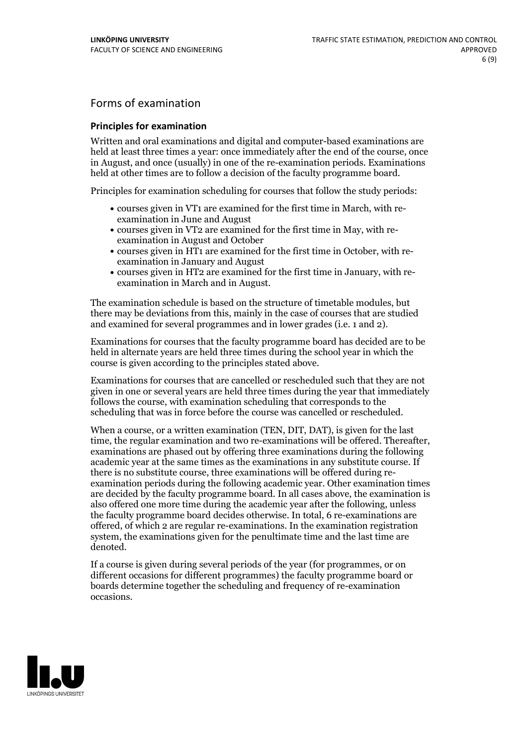## Forms of examination

### **Principles for examination**

Written and oral examinations and digital and computer-based examinations are held at least three times a year: once immediately after the end of the course, once in August, and once (usually) in one of the re-examination periods. Examinations held at other times are to follow a decision of the faculty programme board.

Principles for examination scheduling for courses that follow the study periods:

- courses given in VT1 are examined for the first time in March, with re-examination in June and August
- courses given in VT2 are examined for the first time in May, with re-examination in August and October
- courses given in HT1 are examined for the first time in October, with re-examination in January and August
- courses given in HT2 are examined for the first time in January, with re-examination in March and in August.

The examination schedule is based on the structure of timetable modules, but there may be deviations from this, mainly in the case of courses that are studied and examined for several programmes and in lower grades (i.e. 1 and 2).

Examinations for courses that the faculty programme board has decided are to be held in alternate years are held three times during the school year in which the course is given according to the principles stated above.

Examinations for courses that are cancelled orrescheduled such that they are not given in one or several years are held three times during the year that immediately follows the course, with examination scheduling that corresponds to the scheduling that was in force before the course was cancelled or rescheduled.

When a course, or a written examination (TEN, DIT, DAT), is given for the last time, the regular examination and two re-examinations will be offered. Thereafter, examinations are phased out by offering three examinations during the following academic year at the same times as the examinations in any substitute course. If there is no substitute course, three examinations will be offered during re- examination periods during the following academic year. Other examination times are decided by the faculty programme board. In all cases above, the examination is also offered one more time during the academic year after the following, unless the faculty programme board decides otherwise. In total, 6 re-examinations are offered, of which 2 are regular re-examinations. In the examination registration system, the examinations given for the penultimate time and the last time are denoted.

If a course is given during several periods of the year (for programmes, or on different occasions for different programmes) the faculty programme board or boards determine together the scheduling and frequency of re-examination occasions.

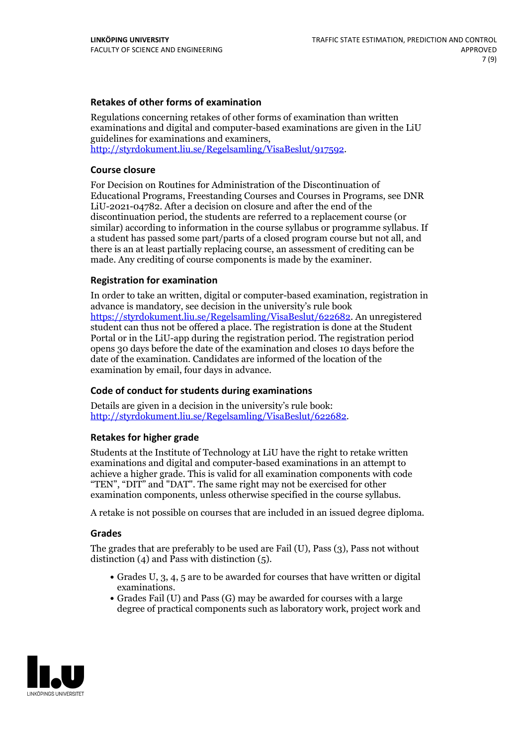### **Retakes of other forms of examination**

Regulations concerning retakes of other forms of examination than written examinations and digital and computer-based examinations are given in the LiU guidelines for examinations and examiners, [http://styrdokument.liu.se/Regelsamling/VisaBeslut/917592.](http://styrdokument.liu.se/Regelsamling/VisaBeslut/917592)

#### **Course closure**

For Decision on Routines for Administration of the Discontinuation of Educational Programs, Freestanding Courses and Courses in Programs, see DNR LiU-2021-04782. After a decision on closure and after the end of the discontinuation period, the students are referred to a replacement course (or similar) according to information in the course syllabus or programme syllabus. If a student has passed some part/parts of a closed program course but not all, and there is an at least partially replacing course, an assessment of crediting can be made. Any crediting of course components is made by the examiner.

### **Registration for examination**

In order to take an written, digital or computer-based examination, registration in advance is mandatory, see decision in the university's rule book [https://styrdokument.liu.se/Regelsamling/VisaBeslut/622682.](https://styrdokument.liu.se/Regelsamling/VisaBeslut/622682) An unregistered student can thus not be offered a place. The registration is done at the Student Portal or in the LiU-app during the registration period. The registration period opens 30 days before the date of the examination and closes 10 days before the date of the examination. Candidates are informed of the location of the examination by email, four days in advance.

### **Code of conduct for students during examinations**

Details are given in a decision in the university's rule book: <http://styrdokument.liu.se/Regelsamling/VisaBeslut/622682>.

#### **Retakes for higher grade**

Students at the Institute of Technology at LiU have the right to retake written examinations and digital and computer-based examinations in an attempt to achieve a higher grade. This is valid for all examination components with code "TEN", "DIT" and "DAT". The same right may not be exercised for other examination components, unless otherwise specified in the course syllabus.

A retake is not possible on courses that are included in an issued degree diploma.

#### **Grades**

The grades that are preferably to be used are Fail (U), Pass (3), Pass not without distinction  $(4)$  and Pass with distinction  $(5)$ .

- Grades U, 3, 4, 5 are to be awarded for courses that have written or digital examinations.<br>• Grades Fail (U) and Pass (G) may be awarded for courses with a large
- degree of practical components such as laboratory work, project work and

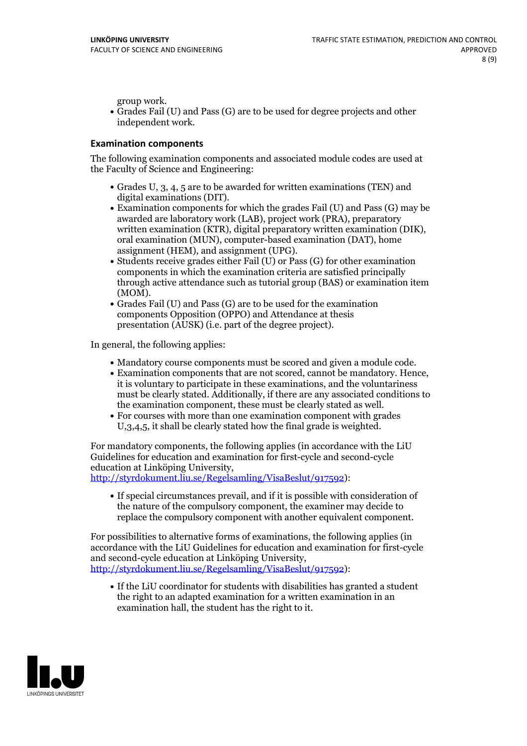group work.<br>• Grades Fail (U) and Pass (G) are to be used for degree projects and other independent work.

#### **Examination components**

The following examination components and associated module codes are used at the Faculty of Science and Engineering:

- Grades U, 3, 4, 5 are to be awarded for written examinations (TEN) and
- digital examinations (DIT).<br>• Examination components for which the grades Fail (U) and Pass (G) may be awarded are laboratory work (LAB), project work (PRA), preparatory written examination (KTR), digital preparatory written examination (DIK), oral examination (MUN), computer-based examination (DAT), home
- assignment (HEM), and assignment (UPG).<br>• Students receive grades either Fail (U) or Pass (G) for other examination components in which the examination criteria are satisfied principally through active attendance such as tutorial group (BAS) or examination item
- (MOM).<br>• Grades Fail (U) and Pass (G) are to be used for the examination components Opposition (OPPO) and Attendance at thesis presentation (AUSK) (i.e. part of the degree project).

In general, the following applies:

- 
- Mandatory course components must be scored and given <sup>a</sup> module code. Examination components that are not scored, cannot be mandatory. Hence, it is voluntary to participate in these examinations, and the voluntariness must be clearly stated. Additionally, if there are any associated conditions to
- the examination component, these must be clearly stated as well.<br>• For courses with more than one examination component with grades U,3,4,5, it shall be clearly stated how the final grade is weighted.

For mandatory components, the following applies (in accordance with the LiU Guidelines for education and examination for first-cycle and second-cycle

[http://styrdokument.liu.se/Regelsamling/VisaBeslut/917592\)](http://styrdokument.liu.se/Regelsamling/VisaBeslut/917592):

If special circumstances prevail, and if it is possible with consideration of the nature of the compulsory component, the examiner may decide to replace the compulsory component with another equivalent component.

For possibilities to alternative forms of examinations, the following applies (in accordance with the LiU Guidelines for education and examination for first-cycle [http://styrdokument.liu.se/Regelsamling/VisaBeslut/917592\)](http://styrdokument.liu.se/Regelsamling/VisaBeslut/917592):

If the LiU coordinator for students with disabilities has granted a student the right to an adapted examination for a written examination in an examination hall, the student has the right to it.